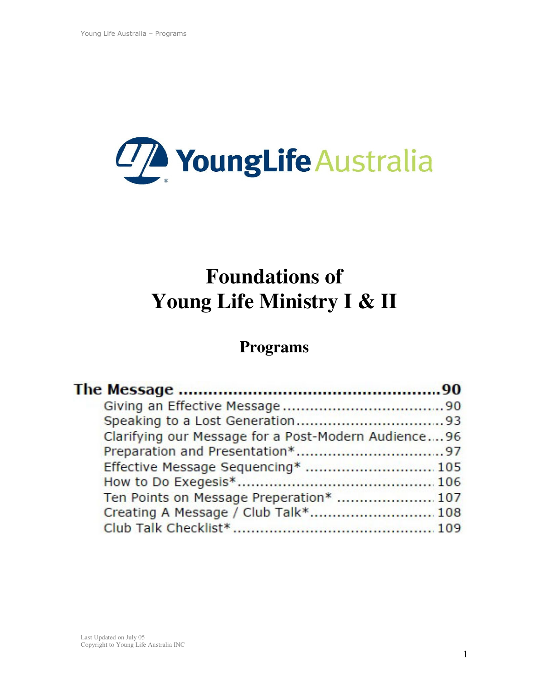

# **Foundations of Young Life Ministry I & II**

# **Programs**

| Clarifying our Message for a Post-Modern Audience96 |  |
|-----------------------------------------------------|--|
|                                                     |  |
| Effective Message Sequencing*  105                  |  |
|                                                     |  |
| Ten Points on Message Preperation*  107             |  |
| Creating A Message / Club Talk* 108                 |  |
|                                                     |  |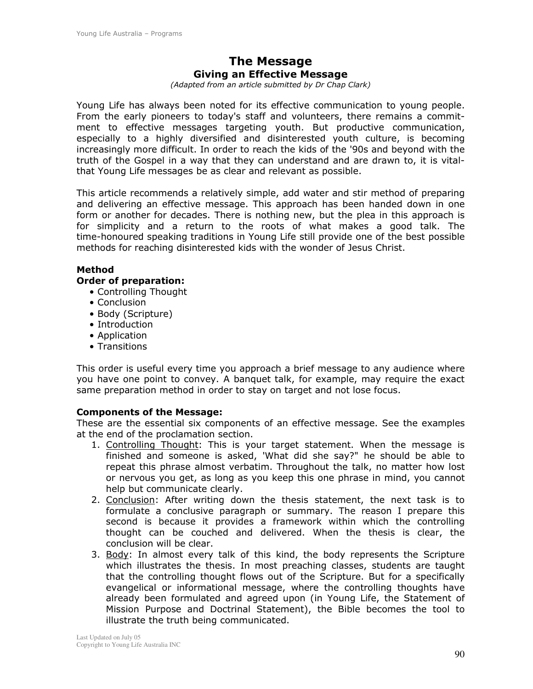## **The Message** Giving an Effective Message

(Adapted from an article submitted by Dr Chap Clark)

Young Life has always been noted for its effective communication to young people. From the early pioneers to today's staff and volunteers, there remains a commitment to effective messages targeting youth. But productive communication, especially to a highly diversified and disinterested youth culture, is becoming increasingly more difficult. In order to reach the kids of the '90s and beyond with the truth of the Gospel in a way that they can understand and are drawn to, it is vitalthat Young Life messages be as clear and relevant as possible.

This article recommends a relatively simple, add water and stir method of preparing and delivering an effective message. This approach has been handed down in one form or another for decades. There is nothing new, but the plea in this approach is for simplicity and a return to the roots of what makes a good talk. The time-honoured speaking traditions in Young Life still provide one of the best possible methods for reaching disinterested kids with the wonder of Jesus Christ.

#### **Method**

#### **Order of preparation:**

- Controlling Thought
- Conclusion
- Body (Scripture)
- Introduction
- Application
- Transitions

This order is useful every time you approach a brief message to any audience where you have one point to convey. A banguet talk, for example, may require the exact same preparation method in order to stay on target and not lose focus.

#### **Components of the Message:**

These are the essential six components of an effective message. See the examples at the end of the proclamation section.

- 1. Controlling Thought: This is your target statement. When the message is finished and someone is asked, 'What did she say?" he should be able to repeat this phrase almost verbatim. Throughout the talk, no matter how lost or nervous you get, as long as you keep this one phrase in mind, you cannot help but communicate clearly.
- 2. Conclusion: After writing down the thesis statement, the next task is to formulate a conclusive paragraph or summary. The reason I prepare this second is because it provides a framework within which the controlling thought can be couched and delivered. When the thesis is clear, the conclusion will be clear.
- 3. Body: In almost every talk of this kind, the body represents the Scripture which illustrates the thesis. In most preaching classes, students are taught that the controlling thought flows out of the Scripture. But for a specifically evangelical or informational message, where the controlling thoughts have already been formulated and agreed upon (in Young Life, the Statement of Mission Purpose and Doctrinal Statement), the Bible becomes the tool to illustrate the truth being communicated.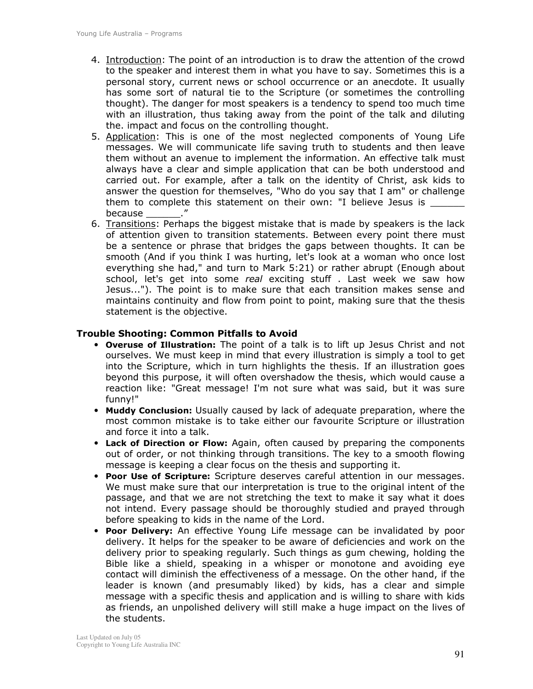- 4. Introduction: The point of an introduction is to draw the attention of the crowd to the speaker and interest them in what you have to say. Sometimes this is a personal story, current news or school occurrence or an anecdote. It usually has some sort of natural tie to the Scripture (or sometimes the controlling thought). The danger for most speakers is a tendency to spend too much time with an illustration, thus taking away from the point of the talk and diluting the. impact and focus on the controlling thought.
- 5. Application: This is one of the most neglected components of Young Life messages. We will communicate life saving truth to students and then leave them without an avenue to implement the information. An effective talk must always have a clear and simple application that can be both understood and carried out. For example, after a talk on the identity of Christ, ask kids to answer the question for themselves, "Who do you say that I am" or challenge them to complete this statement on their own: "I believe Jesus is \_\_\_\_\_\_ because
- 6. Transitions: Perhaps the biggest mistake that is made by speakers is the lack of attention given to transition statements. Between every point there must be a sentence or phrase that bridges the gaps between thoughts. It can be smooth (And if you think I was hurting, let's look at a woman who once lost everything she had," and turn to Mark 5:21) or rather abrupt (Enough about school, let's get into some real exciting stuff . Last week we saw how Jesus..."). The point is to make sure that each transition makes sense and maintains continuity and flow from point to point, making sure that the thesis statement is the objective.

#### **Trouble Shooting: Common Pitfalls to Avoid**

- Overuse of Illustration: The point of a talk is to lift up Jesus Christ and not ourselves. We must keep in mind that every illustration is simply a tool to get into the Scripture, which in turn highlights the thesis. If an illustration goes beyond this purpose, it will often overshadow the thesis, which would cause a reaction like: "Great message! I'm not sure what was said, but it was sure funny!"
- Muddy Conclusion: Usually caused by lack of adequate preparation, where the most common mistake is to take either our favourite Scripture or illustration and force it into a talk.
- Lack of Direction or Flow: Again, often caused by preparing the components out of order, or not thinking through transitions. The key to a smooth flowing message is keeping a clear focus on the thesis and supporting it.
- . Poor Use of Scripture: Scripture deserves careful attention in our messages. We must make sure that our interpretation is true to the original intent of the passage, and that we are not stretching the text to make it say what it does not intend. Every passage should be thoroughly studied and prayed through before speaking to kids in the name of the Lord.
- Poor Delivery: An effective Young Life message can be invalidated by poor  $\bullet$ delivery. It helps for the speaker to be aware of deficiencies and work on the delivery prior to speaking regularly. Such things as gum chewing, holding the Bible like a shield, speaking in a whisper or monotone and avoiding eye contact will diminish the effectiveness of a message. On the other hand, if the leader is known (and presumably liked) by kids, has a clear and simple message with a specific thesis and application and is willing to share with kids as friends, an unpolished delivery will still make a huge impact on the lives of the students.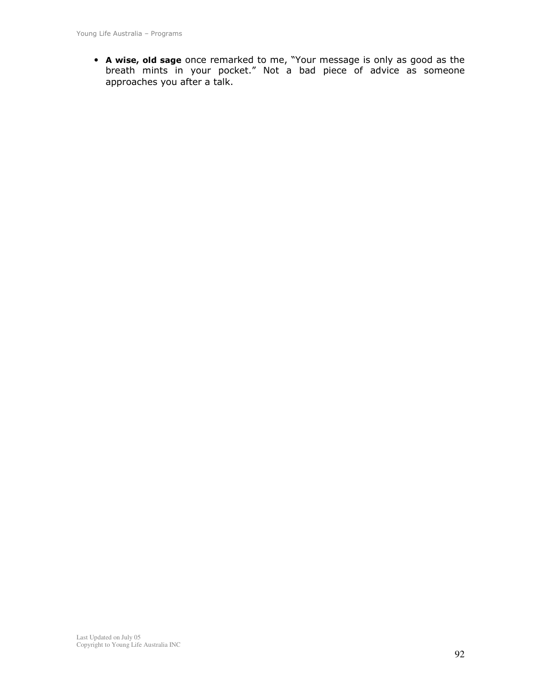• **A wise, old sage** once remarked to me, "Your message is only as good as the<br>breath mints in your pocket." Not a bad piece of advice as someone approaches you after a talk.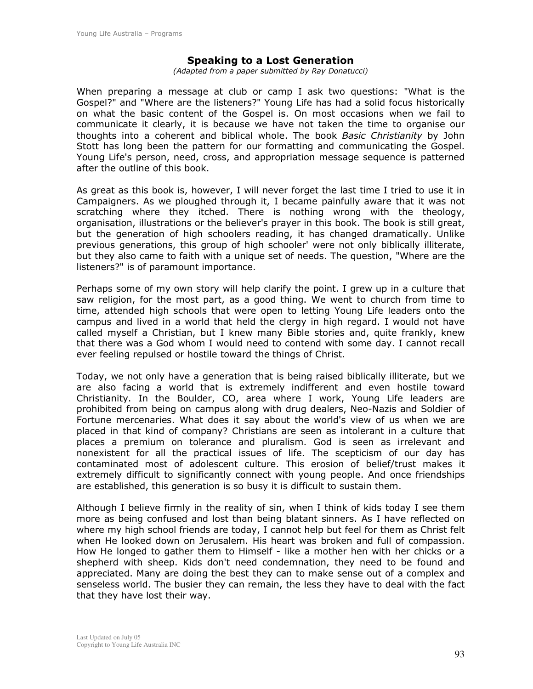#### **Speaking to a Lost Generation**

(Adapted from a paper submitted by Ray Donatucci)

When preparing a message at club or camp I ask two questions: "What is the Gospel?" and "Where are the listeners?" Young Life has had a solid focus historically on what the basic content of the Gospel is. On most occasions when we fail to communicate it clearly, it is because we have not taken the time to organise our thoughts into a coherent and biblical whole. The book Basic Christianity by John Stott has long been the pattern for our formatting and communicating the Gospel. Young Life's person, need, cross, and appropriation message sequence is patterned after the outline of this book.

As great as this book is, however, I will never forget the last time I tried to use it in Campaigners. As we ploughed through it, I became painfully aware that it was not scratching where they itched. There is nothing wrong with the theology, organisation, illustrations or the believer's prayer in this book. The book is still great, but the generation of high schoolers reading, it has changed dramatically. Unlike previous generations, this group of high schooler' were not only biblically illiterate, but they also came to faith with a unique set of needs. The question, "Where are the listeners?" is of paramount importance.

Perhaps some of my own story will help clarify the point. I grew up in a culture that saw religion, for the most part, as a good thing. We went to church from time to time, attended high schools that were open to letting Young Life leaders onto the campus and lived in a world that held the clergy in high regard. I would not have called myself a Christian, but I knew many Bible stories and, quite frankly, knew that there was a God whom I would need to contend with some day. I cannot recall ever feeling repulsed or hostile toward the things of Christ.

Today, we not only have a generation that is being raised biblically illiterate, but we are also facing a world that is extremely indifferent and even hostile toward Christianity. In the Boulder, CO, area where I work, Young Life leaders are prohibited from being on campus along with drug dealers, Neo-Nazis and Soldier of Fortune mercenaries. What does it say about the world's view of us when we are placed in that kind of company? Christians are seen as intolerant in a culture that places a premium on tolerance and pluralism. God is seen as irrelevant and nonexistent for all the practical issues of life. The scepticism of our day has contaminated most of adolescent culture. This erosion of belief/trust makes it extremely difficult to significantly connect with young people. And once friendships are established, this generation is so busy it is difficult to sustain them.

Although I believe firmly in the reality of sin, when I think of kids today I see them more as being confused and lost than being blatant sinners. As I have reflected on where my high school friends are today, I cannot help but feel for them as Christ felt when He looked down on Jerusalem. His heart was broken and full of compassion. How He longed to gather them to Himself - like a mother hen with her chicks or a shepherd with sheep. Kids don't need condemnation, they need to be found and appreciated. Many are doing the best they can to make sense out of a complex and senseless world. The busier they can remain, the less they have to deal with the fact that they have lost their way.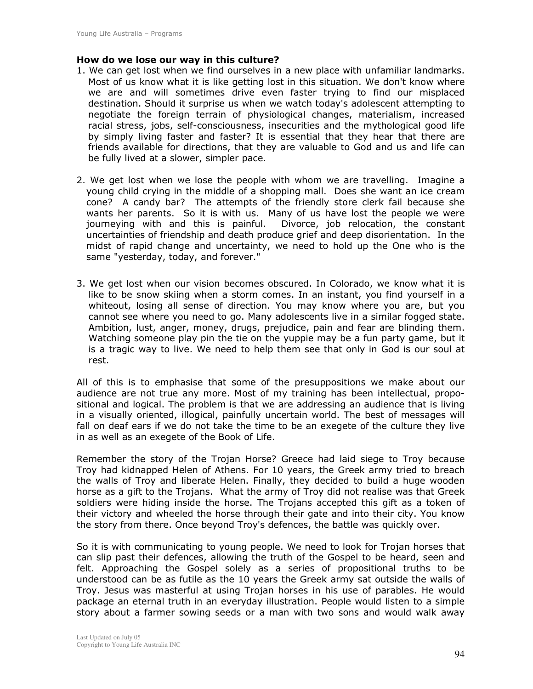#### How do we lose our way in this culture?

- 1. We can get lost when we find ourselves in a new place with unfamiliar landmarks. Most of us know what it is like getting lost in this situation. We don't know where we are and will sometimes drive even faster trying to find our misplaced destination. Should it surprise us when we watch today's adolescent attempting to negotiate the foreign terrain of physiological changes, materialism, increased racial stress, jobs, self-consciousness, insecurities and the mythological good life by simply living faster and faster? It is essential that they hear that there are friends available for directions, that they are valuable to God and us and life can be fully lived at a slower, simpler pace.
- 2. We get lost when we lose the people with whom we are travelling. Imagine a young child crying in the middle of a shopping mall. Does she want an ice cream cone? A candy bar? The attempts of the friendly store clerk fail because she wants her parents. So it is with us. Many of us have lost the people we were journeying with and this is painful. Divorce, job relocation, the constant uncertainties of friendship and death produce grief and deep disorientation. In the midst of rapid change and uncertainty, we need to hold up the One who is the same "yesterday, today, and forever."
- 3. We get lost when our vision becomes obscured. In Colorado, we know what it is like to be snow skiing when a storm comes. In an instant, you find yourself in a whiteout, losing all sense of direction. You may know where you are, but you cannot see where you need to go. Many adolescents live in a similar fogged state. Ambition, lust, anger, money, drugs, prejudice, pain and fear are blinding them. Watching someone play pin the tie on the yuppie may be a fun party game, but it is a tragic way to live. We need to help them see that only in God is our soul at rest.

All of this is to emphasise that some of the presuppositions we make about our audience are not true any more. Most of my training has been intellectual, propositional and logical. The problem is that we are addressing an audience that is living in a visually oriented, illogical, painfully uncertain world. The best of messages will fall on deaf ears if we do not take the time to be an exegete of the culture they live in as well as an exegete of the Book of Life.

Remember the story of the Trojan Horse? Greece had laid siege to Troy because Troy had kidnapped Helen of Athens. For 10 years, the Greek army tried to breach the walls of Troy and liberate Helen. Finally, they decided to build a huge wooden horse as a gift to the Trojans. What the army of Troy did not realise was that Greek soldiers were hiding inside the horse. The Trojans accepted this gift as a token of their victory and wheeled the horse through their gate and into their city. You know the story from there. Once beyond Troy's defences, the battle was quickly over.

So it is with communicating to young people. We need to look for Trojan horses that can slip past their defences, allowing the truth of the Gospel to be heard, seen and felt. Approaching the Gospel solely as a series of propositional truths to be understood can be as futile as the 10 years the Greek army sat outside the walls of Troy. Jesus was masterful at using Trojan horses in his use of parables. He would package an eternal truth in an everyday illustration. People would listen to a simple story about a farmer sowing seeds or a man with two sons and would walk away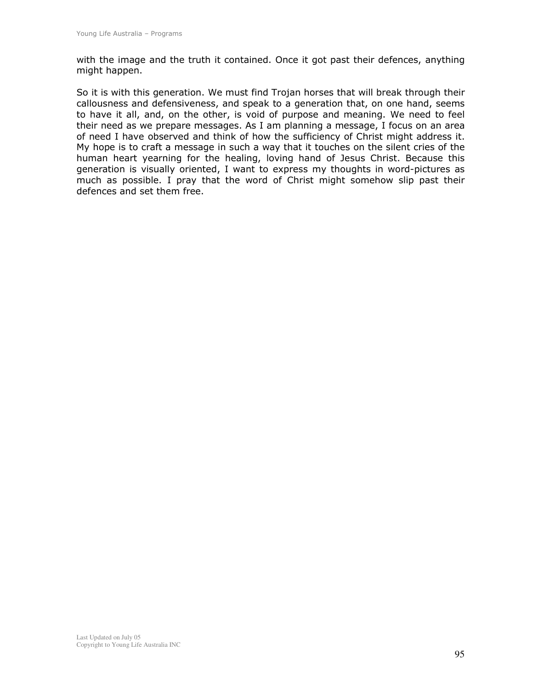with the image and the truth it contained. Once it got past their defences, anything might happen.

So it is with this generation. We must find Trojan horses that will break through their callousness and defensiveness, and speak to a generation that, on one hand, seems to have it all, and, on the other, is void of purpose and meaning. We need to feel their need as we prepare messages. As I am planning a message, I focus on an area of need I have observed and think of how the sufficiency of Christ might address it. My hope is to craft a message in such a way that it touches on the silent cries of the human heart yearning for the healing, loving hand of Jesus Christ. Because this generation is visually oriented, I want to express my thoughts in word-pictures as much as possible. I pray that the word of Christ might somehow slip past their defences and set them free.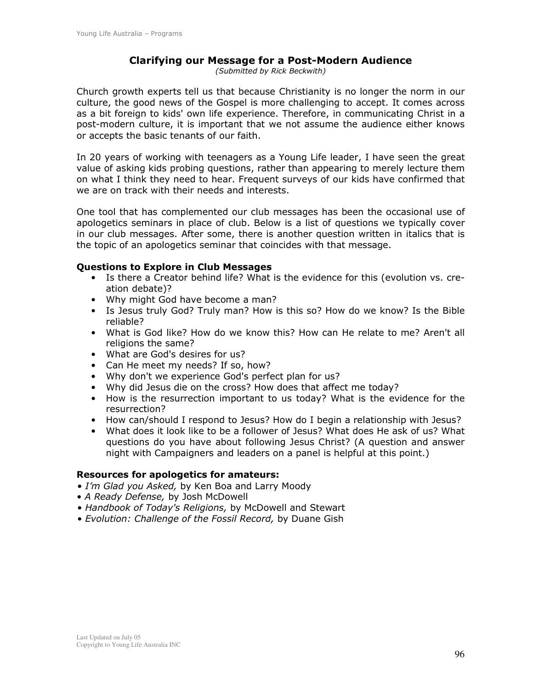#### **Clarifying our Message for a Post-Modern Audience**

(Submitted by Rick Beckwith)

Church growth experts tell us that because Christianity is no longer the norm in our culture, the good news of the Gospel is more challenging to accept. It comes across as a bit foreign to kids' own life experience. Therefore, in communicating Christ in a post-modern culture, it is important that we not assume the audience either knows or accepts the basic tenants of our faith.

In 20 years of working with teenagers as a Young Life leader, I have seen the great value of asking kids probing questions, rather than appearing to merely lecture them on what I think they need to hear. Frequent surveys of our kids have confirmed that we are on track with their needs and interests.

One tool that has complemented our club messages has been the occasional use of apologetics seminars in place of club. Below is a list of questions we typically cover in our club messages. After some, there is another question written in italics that is the topic of an apologetics seminar that coincides with that message.

#### **Questions to Explore in Club Messages**

- Is there a Creator behind life? What is the evidence for this (evolution vs. creation debate)?
- Why might God have become a man?
- Is Jesus truly God? Truly man? How is this so? How do we know? Is the Bible reliable?
- What is God like? How do we know this? How can He relate to me? Aren't all religions the same?
- What are God's desires for us?
- Can He meet my needs? If so, how?
- Why don't we experience God's perfect plan for us?
- Why did Jesus die on the cross? How does that affect me today?
- How is the resurrection important to us today? What is the evidence for the resurrection?
- How can/should I respond to Jesus? How do I begin a relationship with Jesus?
- What does it look like to be a follower of Jesus? What does He ask of us? What questions do you have about following Jesus Christ? (A question and answer night with Campaigners and leaders on a panel is helpful at this point.)

#### **Resources for apologetics for amateurs:**

- . I'm Glad you Asked, by Ken Boa and Larry Moody
- A Ready Defense, by Josh McDowell
- Handbook of Today's Religions, by McDowell and Stewart
- Evolution: Challenge of the Fossil Record, by Duane Gish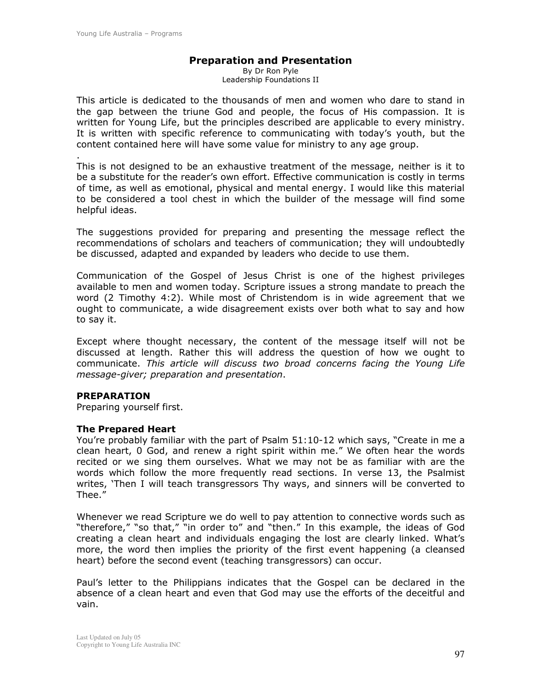#### **Preparation and Presentation**

By Dr Ron Pyle Leadership Foundations II

This article is dedicated to the thousands of men and women who dare to stand in the gap between the triune God and people, the focus of His compassion. It is written for Young Life, but the principles described are applicable to every ministry. It is written with specific reference to communicating with today's youth, but the content contained here will have some value for ministry to any age group.

This is not designed to be an exhaustive treatment of the message, neither is it to be a substitute for the reader's own effort. Effective communication is costly in terms of time, as well as emotional, physical and mental energy. I would like this material to be considered a tool chest in which the builder of the message will find some helpful ideas.

The suggestions provided for preparing and presenting the message reflect the recommendations of scholars and teachers of communication; they will undoubtedly be discussed, adapted and expanded by leaders who decide to use them.

Communication of the Gospel of Jesus Christ is one of the highest privileges available to men and women today. Scripture issues a strong mandate to preach the word (2 Timothy 4:2). While most of Christendom is in wide agreement that we ought to communicate, a wide disagreement exists over both what to say and how to say it.

Except where thought necessary, the content of the message itself will not be discussed at length. Rather this will address the question of how we ought to communicate. This article will discuss two broad concerns facing the Young Life message-giver; preparation and presentation.

#### **PREPARATION**

Preparing yourself first.

#### **The Prepared Heart**

You're probably familiar with the part of Psalm 51:10-12 which says, "Create in me a clean heart, 0 God, and renew a right spirit within me." We often hear the words recited or we sing them ourselves. What we may not be as familiar with are the words which follow the more frequently read sections. In verse 13, the Psalmist writes, 'Then I will teach transgressors Thy ways, and sinners will be converted to Thee."

Whenever we read Scripture we do well to pay attention to connective words such as "therefore," "so that," "in order to" and "then." In this example, the ideas of God creating a clean heart and individuals engaging the lost are clearly linked. What's more, the word then implies the priority of the first event happening (a cleansed heart) before the second event (teaching transgressors) can occur.

Paul's letter to the Philippians indicates that the Gospel can be declared in the absence of a clean heart and even that God may use the efforts of the deceitful and vain.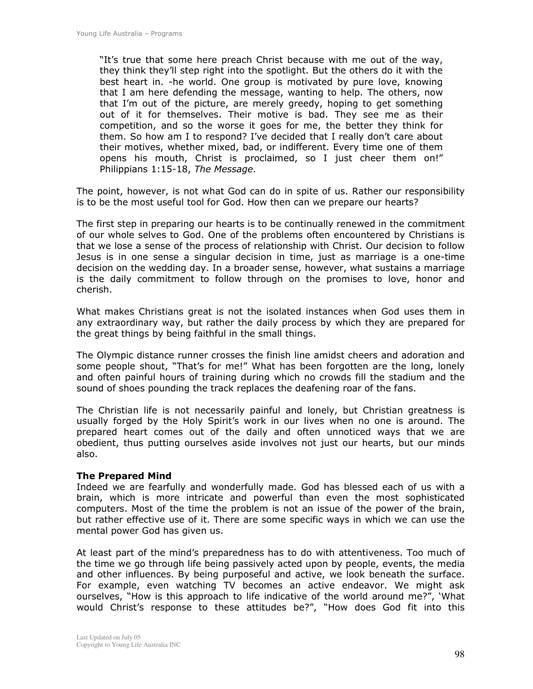"It's true that some here preach Christ because with me out of the way, they think they'll step right into the spotlight. But the others do it with the best heart in. -he world. One group is motivated by pure love, knowing that I am here defending the message, wanting to help. The others, now that I'm out of the picture, are merely greedy, hoping to get something out of it for themselves. Their motive is bad. They see me as their competition, and so the worse it goes for me, the better they think for them. So how am I to respond? I've decided that I really don't care about their motives, whether mixed, bad, or indifferent. Every time one of them opens his mouth, Christ is proclaimed, so I just cheer them on!" Philippians 1:15-18, The Message.

The point, however, is not what God can do in spite of us. Rather our responsibility is to be the most useful tool for God. How then can we prepare our hearts?

The first step in preparing our hearts is to be continually renewed in the commitment of our whole selves to God. One of the problems often encountered by Christians is that we lose a sense of the process of relationship with Christ. Our decision to follow Jesus is in one sense a singular decision in time, just as marriage is a one-time decision on the wedding day. In a broader sense, however, what sustains a marriage is the daily commitment to follow through on the promises to love, honor and cherish.

What makes Christians great is not the isolated instances when God uses them in any extraordinary way, but rather the daily process by which they are prepared for the great things by being faithful in the small things.

The Olympic distance runner crosses the finish line amidst cheers and adoration and some people shout, "That's for me!" What has been forgotten are the long, lonely and often painful hours of training during which no crowds fill the stadium and the sound of shoes pounding the track replaces the deafening roar of the fans.

The Christian life is not necessarily painful and lonely, but Christian greatness is usually forged by the Holy Spirit's work in our lives when no one is around. The prepared heart comes out of the daily and often unnoticed ways that we are obedient, thus putting ourselves aside involves not just our hearts, but our minds also.

#### **The Prepared Mind**

Indeed we are fearfully and wonderfully made. God has blessed each of us with a brain, which is more intricate and powerful than even the most sophisticated computers. Most of the time the problem is not an issue of the power of the brain, but rather effective use of it. There are some specific ways in which we can use the mental power God has given us.

At least part of the mind's preparedness has to do with attentiveness. Too much of the time we go through life being passively acted upon by people, events, the media and other influences. By being purposeful and active, we look beneath the surface. For example, even watching TV becomes an active endeavor. We might ask ourselves, "How is this approach to life indicative of the world around me?", 'What would Christ's response to these attitudes be?", "How does God fit into this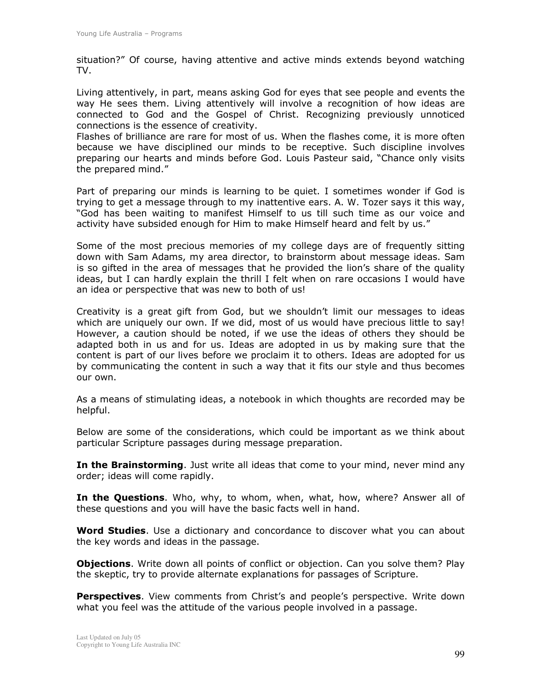situation?" Of course, having attentive and active minds extends beyond watching TV.

Living attentively, in part, means asking God for eyes that see people and events the way He sees them, Living attentively will involve a recognition of how ideas are connected to God and the Gospel of Christ. Recognizing previously unnoticed connections is the essence of creativity.

Flashes of brilliance are rare for most of us. When the flashes come, it is more often because we have disciplined our minds to be receptive. Such discipline involves preparing our hearts and minds before God. Louis Pasteur said, "Chance only visits the prepared mind."

Part of preparing our minds is learning to be quiet. I sometimes wonder if God is trying to get a message through to my inattentive ears. A. W. Tozer says it this way, "God has been waiting to manifest Himself to us till such time as our voice and activity have subsided enough for Him to make Himself heard and felt by us."

Some of the most precious memories of my college days are of frequently sitting down with Sam Adams, my area director, to brainstorm about message ideas. Sam is so gifted in the area of messages that he provided the lion's share of the quality ideas, but I can hardly explain the thrill I felt when on rare occasions I would have an idea or perspective that was new to both of us!

Creativity is a great gift from God, but we shouldn't limit our messages to ideas which are uniquely our own. If we did, most of us would have precious little to say! However, a caution should be noted, if we use the ideas of others they should be adapted both in us and for us. Ideas are adopted in us by making sure that the content is part of our lives before we proclaim it to others. Ideas are adopted for us by communicating the content in such a way that it fits our style and thus becomes our own.

As a means of stimulating ideas, a notebook in which thoughts are recorded may be helpful.

Below are some of the considerations, which could be important as we think about particular Scripture passages during message preparation.

In the Brainstorming. Just write all ideas that come to your mind, never mind any order; ideas will come rapidly.

In the Questions. Who, why, to whom, when, what, how, where? Answer all of these questions and you will have the basic facts well in hand.

**Word Studies.** Use a dictionary and concordance to discover what you can about the key words and ideas in the passage.

**Objections.** Write down all points of conflict or objection. Can you solve them? Play the skeptic, try to provide alternate explanations for passages of Scripture.

**Perspectives.** View comments from Christ's and people's perspective. Write down what you feel was the attitude of the various people involved in a passage.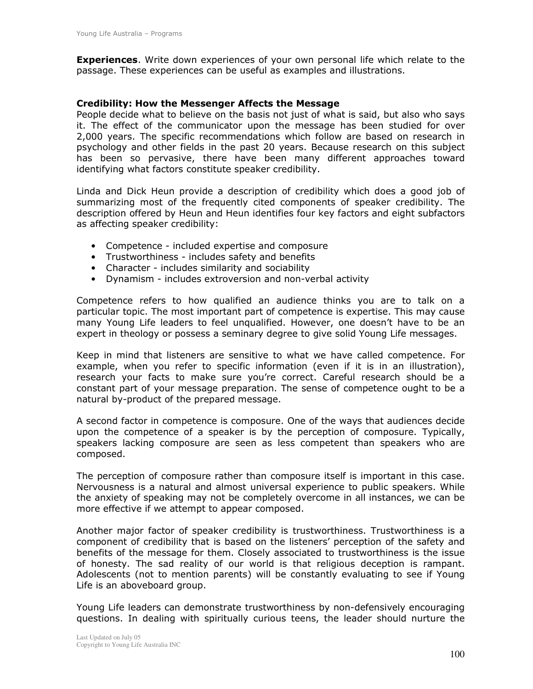**Experiences.** Write down experiences of your own personal life which relate to the passage. These experiences can be useful as examples and illustrations.

#### **Credibility: How the Messenger Affects the Message**

People decide what to believe on the basis not just of what is said, but also who says it. The effect of the communicator upon the message has been studied for over 2,000 years. The specific recommendations which follow are based on research in psychology and other fields in the past 20 years. Because research on this subject has been so pervasive, there have been many different approaches toward identifying what factors constitute speaker credibility.

Linda and Dick Heun provide a description of credibility which does a good job of summarizing most of the frequently cited components of speaker credibility. The description offered by Heun and Heun identifies four key factors and eight subfactors as affecting speaker credibility:

- Competence included expertise and composure
- Trustworthiness includes safety and benefits
- Character includes similarity and sociability
- Dynamism includes extroversion and non-verbal activity

Competence refers to how qualified an audience thinks you are to talk on a particular topic. The most important part of competence is expertise. This may cause many Young Life leaders to feel unqualified. However, one doesn't have to be an expert in theology or possess a seminary degree to give solid Young Life messages.

Keep in mind that listeners are sensitive to what we have called competence. For example, when you refer to specific information (even if it is in an illustration), research your facts to make sure you're correct. Careful research should be a constant part of your message preparation. The sense of competence ought to be a natural by-product of the prepared message.

A second factor in competence is composure. One of the ways that audiences decide upon the competence of a speaker is by the perception of composure. Typically, speakers lacking composure are seen as less competent than speakers who are composed.

The perception of composure rather than composure itself is important in this case. Nervousness is a natural and almost universal experience to public speakers. While the anxiety of speaking may not be completely overcome in all instances, we can be more effective if we attempt to appear composed.

Another major factor of speaker credibility is trustworthiness. Trustworthiness is a component of credibility that is based on the listeners' perception of the safety and benefits of the message for them. Closely associated to trustworthiness is the issue of honesty. The sad reality of our world is that religious deception is rampant. Adolescents (not to mention parents) will be constantly evaluating to see if Young Life is an aboveboard group.

Young Life leaders can demonstrate trustworthiness by non-defensively encouraging questions. In dealing with spiritually curious teens, the leader should nurture the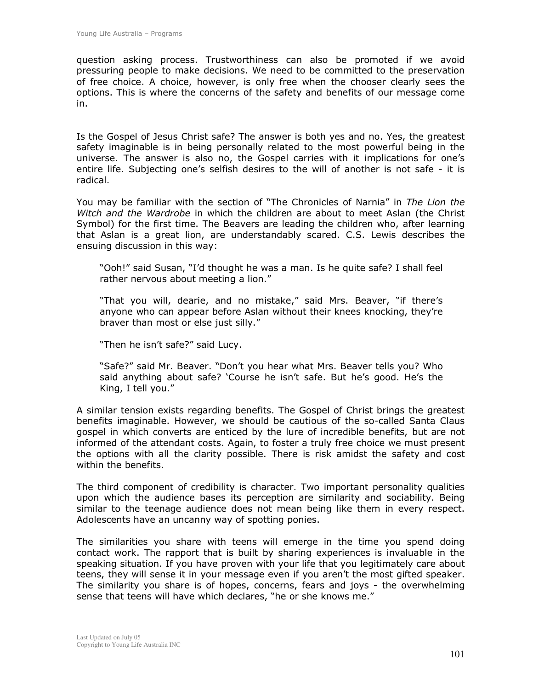question asking process. Trustworthiness can also be promoted if we avoid pressuring people to make decisions. We need to be committed to the preservation of free choice. A choice, however, is only free when the chooser clearly sees the options. This is where the concerns of the safety and benefits of our message come in.

Is the Gospel of Jesus Christ safe? The answer is both yes and no. Yes, the greatest safety imaginable is in being personally related to the most powerful being in the universe. The answer is also no, the Gospel carries with it implications for one's entire life. Subjecting one's selfish desires to the will of another is not safe - it is radical.

You may be familiar with the section of "The Chronicles of Narnia" in The Lion the Witch and the Wardrobe in which the children are about to meet Aslan (the Christ Symbol) for the first time. The Beavers are leading the children who, after learning that Aslan is a great lion, are understandably scared. C.S. Lewis describes the ensuing discussion in this way:

"Ooh!" said Susan, "I'd thought he was a man. Is he quite safe? I shall feel rather nervous about meeting a lion."

"That you will, dearie, and no mistake," said Mrs. Beaver, "if there's anyone who can appear before Aslan without their knees knocking, they're braver than most or else just silly."

"Then he isn't safe?" said Lucy.

"Safe?" said Mr. Beaver. "Don't you hear what Mrs. Beaver tells you? Who said anything about safe? 'Course he isn't safe. But he's good. He's the King, I tell you."

A similar tension exists regarding benefits. The Gospel of Christ brings the greatest benefits imaginable. However, we should be cautious of the so-called Santa Claus gospel in which converts are enticed by the lure of incredible benefits, but are not informed of the attendant costs. Again, to foster a truly free choice we must present the options with all the clarity possible. There is risk amidst the safety and cost within the benefits.

The third component of credibility is character. Two important personality qualities upon which the audience bases its perception are similarity and sociability. Being similar to the teenage audience does not mean being like them in every respect. Adolescents have an uncanny way of spotting ponies.

The similarities you share with teens will emerge in the time you spend doing contact work. The rapport that is built by sharing experiences is invaluable in the speaking situation. If you have proven with your life that you legitimately care about teens, they will sense it in your message even if you aren't the most gifted speaker. The similarity you share is of hopes, concerns, fears and joys - the overwhelming sense that teens will have which declares, "he or she knows me."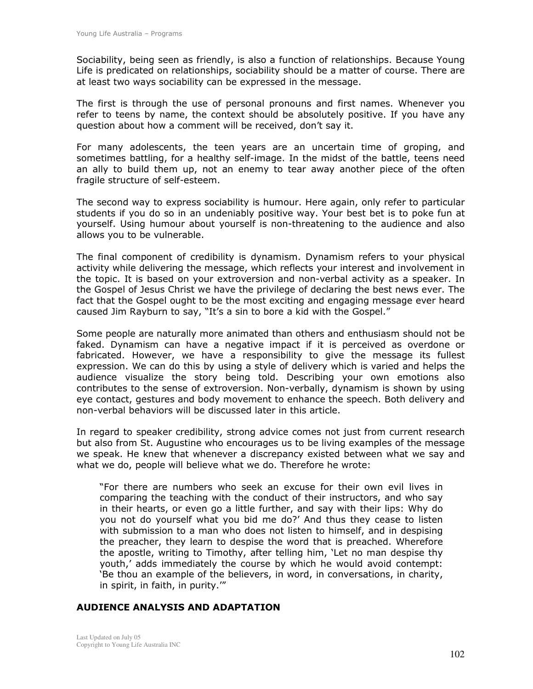Sociability, being seen as friendly, is also a function of relationships. Because Young Life is predicated on relationships, sociability should be a matter of course. There are at least two ways sociability can be expressed in the message.

The first is through the use of personal pronouns and first names. Whenever you refer to teens by name, the context should be absolutely positive. If you have any question about how a comment will be received, don't say it.

For many adolescents, the teen years are an uncertain time of groping, and sometimes battling, for a healthy self-image. In the midst of the battle, teens need an ally to build them up, not an enemy to tear away another piece of the often fragile structure of self-esteem.

The second way to express sociability is humour. Here again, only refer to particular students if you do so in an undeniably positive way. Your best bet is to poke fun at yourself. Using humour about yourself is non-threatening to the audience and also allows you to be vulnerable.

The final component of credibility is dynamism. Dynamism refers to your physical activity while delivering the message, which reflects your interest and involvement in the topic. It is based on your extroversion and non-verbal activity as a speaker. In the Gospel of Jesus Christ we have the privilege of declaring the best news ever. The fact that the Gospel ought to be the most exciting and engaging message ever heard caused Jim Rayburn to say, "It's a sin to bore a kid with the Gospel."

Some people are naturally more animated than others and enthusiasm should not be faked. Dynamism can have a negative impact if it is perceived as overdone or fabricated. However, we have a responsibility to give the message its fullest expression. We can do this by using a style of delivery which is varied and helps the audience visualize the story being told. Describing your own emotions also contributes to the sense of extroversion. Non-verbally, dynamism is shown by using eve contact, gestures and body movement to enhance the speech. Both delivery and non-verbal behaviors will be discussed later in this article.

In regard to speaker credibility, strong advice comes not just from current research but also from St. Augustine who encourages us to be living examples of the message we speak. He knew that whenever a discrepancy existed between what we say and what we do, people will believe what we do. Therefore he wrote:

"For there are numbers who seek an excuse for their own evil lives in comparing the teaching with the conduct of their instructors, and who say in their hearts, or even go a little further, and say with their lips: Why do you not do yourself what you bid me do?' And thus they cease to listen with submission to a man who does not listen to himself, and in despising the preacher, they learn to despise the word that is preached. Wherefore the apostle, writing to Timothy, after telling him, 'Let no man despise thy youth,' adds immediately the course by which he would avoid contempt: 'Be thou an example of the believers, in word, in conversations, in charity, in spirit, in faith, in purity.""

#### **AUDIENCE ANALYSIS AND ADAPTATION**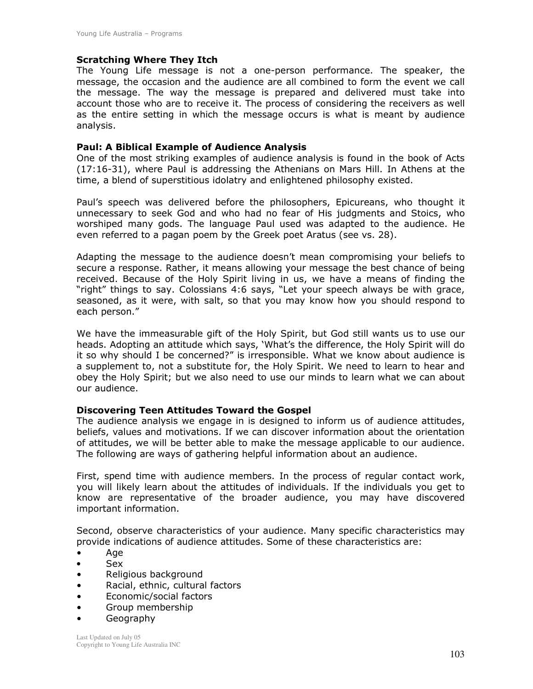#### **Scratching Where They Itch**

The Young Life message is not a one-person performance. The speaker, the message, the occasion and the audience are all combined to form the event we call the message. The way the message is prepared and delivered must take into account those who are to receive it. The process of considering the receivers as well as the entire setting in which the message occurs is what is meant by audience analysis.

#### **Paul: A Biblical Example of Audience Analysis**

One of the most striking examples of audience analysis is found in the book of Acts (17:16-31), where Paul is addressing the Athenians on Mars Hill. In Athens at the time, a blend of superstitious idolatry and enlightened philosophy existed.

Paul's speech was delivered before the philosophers, Epicureans, who thought it unnecessary to seek God and who had no fear of His judgments and Stoics, who worshiped many gods. The language Paul used was adapted to the audience. He even referred to a pagan poem by the Greek poet Aratus (see vs. 28).

Adapting the message to the audience doesn't mean compromising your beliefs to secure a response. Rather, it means allowing your message the best chance of being received. Because of the Holy Spirit living in us, we have a means of finding the "right" things to say. Colossians 4:6 says, "Let your speech always be with grace, seasoned, as it were, with salt, so that you may know how you should respond to each person."

We have the immeasurable gift of the Holy Spirit, but God still wants us to use our heads. Adopting an attitude which says, 'What's the difference, the Holy Spirit will do it so why should I be concerned?" is irresponsible. What we know about audience is a supplement to, not a substitute for, the Holy Spirit. We need to learn to hear and obey the Holy Spirit; but we also need to use our minds to learn what we can about our audience.

#### **Discovering Teen Attitudes Toward the Gospel**

The audience analysis we engage in is designed to inform us of audience attitudes, beliefs, values and motivations. If we can discover information about the orientation of attitudes, we will be better able to make the message applicable to our audience. The following are ways of gathering helpful information about an audience.

First, spend time with audience members. In the process of regular contact work, you will likely learn about the attitudes of individuals. If the individuals you get to know are representative of the broader audience, you may have discovered important information.

Second, observe characteristics of your audience. Many specific characteristics may provide indications of audience attitudes. Some of these characteristics are:

- Age  $\bullet$
- $\bullet$ **Sex**
- Religious background  $\bullet$
- Racial, ethnic, cultural factors  $\bullet$
- $\bullet$ Economic/social factors
- Group membership  $\bullet$
- Geography  $\bullet$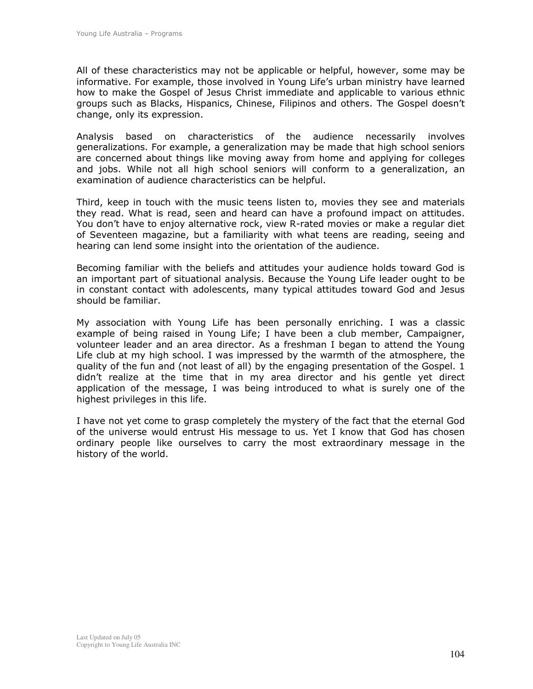All of these characteristics may not be applicable or helpful, however, some may be informative. For example, those involved in Young Life's urban ministry have learned how to make the Gospel of Jesus Christ immediate and applicable to various ethnic groups such as Blacks, Hispanics, Chinese, Filipinos and others. The Gospel doesn't change, only its expression.

Analysis based on characteristics of the audience necessarily involves generalizations. For example, a generalization may be made that high school seniors are concerned about things like moving away from home and applying for colleges and jobs. While not all high school seniors will conform to a generalization, an examination of audience characteristics can be helpful.

Third, keep in touch with the music teens listen to, movies they see and materials they read. What is read, seen and heard can have a profound impact on attitudes. You don't have to enjoy alternative rock, view R-rated movies or make a regular diet of Seventeen magazine, but a familiarity with what teens are reading, seeing and hearing can lend some insight into the orientation of the audience.

Becoming familiar with the beliefs and attitudes your audience holds toward God is an important part of situational analysis. Because the Young Life leader ought to be in constant contact with adolescents, many typical attitudes toward God and Jesus should be familiar.

My association with Young Life has been personally enriching. I was a classic example of being raised in Young Life; I have been a club member, Campaigner, volunteer leader and an area director. As a freshman I began to attend the Young Life club at my high school. I was impressed by the warmth of the atmosphere, the quality of the fun and (not least of all) by the engaging presentation of the Gospel. 1 didn't realize at the time that in my area director and his gentle yet direct application of the message, I was being introduced to what is surely one of the highest privileges in this life.

I have not yet come to grasp completely the mystery of the fact that the eternal God of the universe would entrust His message to us. Yet I know that God has chosen ordinary people like ourselves to carry the most extraordinary message in the history of the world.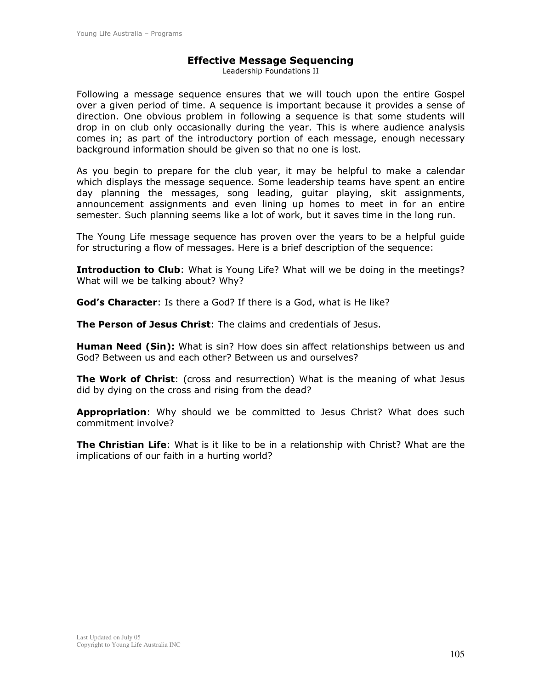#### **Effective Message Sequencing**

Leadership Foundations II

Following a message sequence ensures that we will touch upon the entire Gospel over a given period of time. A sequence is important because it provides a sense of direction. One obvious problem in following a sequence is that some students will drop in on club only occasionally during the year. This is where audience analysis comes in; as part of the introductory portion of each message, enough necessary background information should be given so that no one is lost.

As you begin to prepare for the club year, it may be helpful to make a calendar which displays the message sequence. Some leadership teams have spent an entire day planning the messages, song leading, guitar playing, skit assignments, announcement assignments and even lining up homes to meet in for an entire semester. Such planning seems like a lot of work, but it saves time in the long run.

The Young Life message sequence has proven over the years to be a helpful quide for structuring a flow of messages. Here is a brief description of the sequence:

**Introduction to Club:** What is Young Life? What will we be doing in the meetings? What will we be talking about? Why?

**God's Character:** Is there a God? If there is a God, what is He like?

The Person of Jesus Christ: The claims and credentials of Jesus.

Human Need (Sin): What is sin? How does sin affect relationships between us and God? Between us and each other? Between us and ourselves?

**The Work of Christ:** (cross and resurrection) What is the meaning of what Jesus did by dying on the cross and rising from the dead?

Appropriation: Why should we be committed to Jesus Christ? What does such commitment involve?

The Christian Life: What is it like to be in a relationship with Christ? What are the implications of our faith in a hurting world?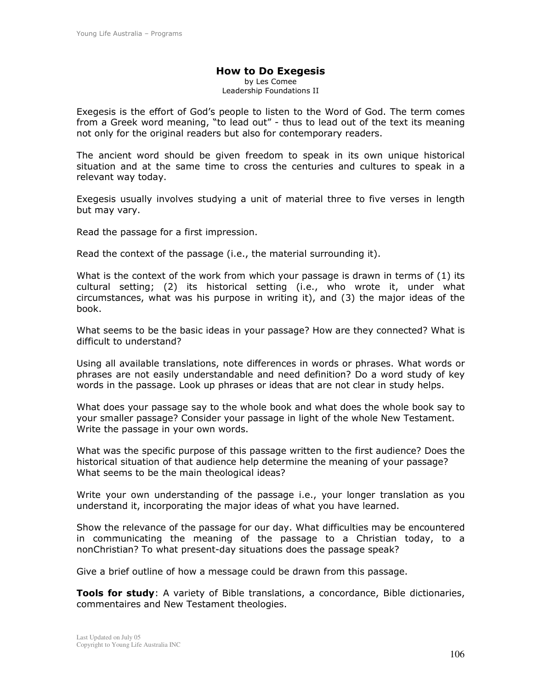#### **How to Do Exegesis** by Les Comee Leadership Foundations II

Exegesis is the effort of God's people to listen to the Word of God. The term comes from a Greek word meaning, "to lead out" - thus to lead out of the text its meaning not only for the original readers but also for contemporary readers.

The ancient word should be given freedom to speak in its own unique historical situation and at the same time to cross the centuries and cultures to speak in a relevant way today.

Exegesis usually involves studying a unit of material three to five verses in length but may vary.

Read the passage for a first impression.

Read the context of the passage (i.e., the material surrounding it).

What is the context of the work from which your passage is drawn in terms of  $(1)$  its cultural setting; (2) its historical setting (i.e., who wrote it, under what circumstances, what was his purpose in writing it), and (3) the major ideas of the hook.

What seems to be the basic ideas in your passage? How are they connected? What is difficult to understand?

Using all available translations, note differences in words or phrases. What words or phrases are not easily understandable and need definition? Do a word study of key words in the passage. Look up phrases or ideas that are not clear in study helps.

What does your passage say to the whole book and what does the whole book say to your smaller passage? Consider your passage in light of the whole New Testament. Write the passage in your own words.

What was the specific purpose of this passage written to the first audience? Does the historical situation of that audience help determine the meaning of your passage? What seems to be the main theological ideas?

Write your own understanding of the passage i.e., your longer translation as you understand it, incorporating the major ideas of what you have learned.

Show the relevance of the passage for our day. What difficulties may be encountered in communicating the meaning of the passage to a Christian today, to a nonChristian? To what present-day situations does the passage speak?

Give a brief outline of how a message could be drawn from this passage.

Tools for study: A variety of Bible translations, a concordance, Bible dictionaries, commentaires and New Testament theologies.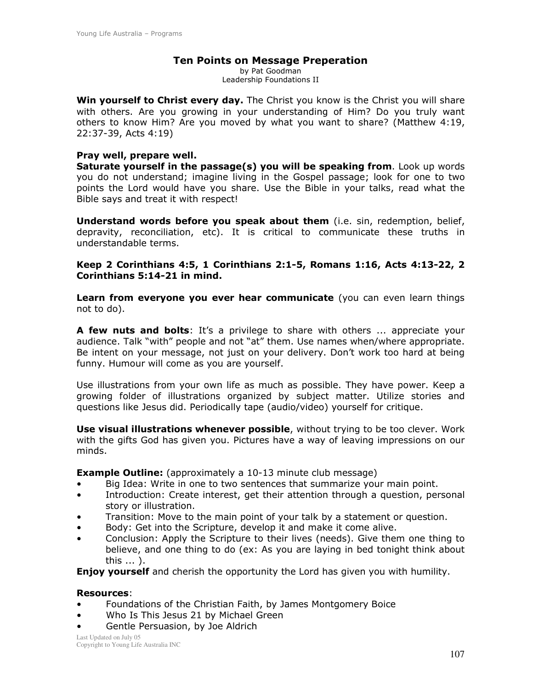#### **Ten Points on Message Preperation**

by Pat Goodman Leadership Foundations II

Win yourself to Christ every day. The Christ you know is the Christ you will share with others. Are you growing in your understanding of Him? Do you truly want others to know Him? Are you moved by what you want to share? (Matthew 4:19, 22:37-39, Acts 4:19)

#### Pray well, prepare well.

Saturate yourself in the passage(s) you will be speaking from. Look up words you do not understand; imagine living in the Gospel passage; look for one to two points the Lord would have you share. Use the Bible in your talks, read what the Bible says and treat it with respect!

**Understand words before you speak about them** (i.e. sin, redemption, belief, depravity, reconciliation, etc). It is critical to communicate these truths in understandable terms.

Keep 2 Corinthians 4:5, 1 Corinthians 2:1-5, Romans 1:16, Acts 4:13-22, 2 Corinthians 5:14-21 in mind.

Learn from everyone you ever hear communicate (you can even learn things not to do).

A few nuts and bolts: It's a privilege to share with others ... appreciate your audience. Talk "with" people and not "at" them. Use names when/where appropriate. Be intent on your message, not just on your delivery. Don't work too hard at being funny. Humour will come as you are yourself.

Use illustrations from your own life as much as possible. They have power. Keep a growing folder of illustrations organized by subject matter. Utilize stories and questions like Jesus did. Periodically tape (audio/video) yourself for critique.

**Use visual illustrations whenever possible**, without trying to be too clever. Work with the gifts God has given you. Pictures have a way of leaving impressions on our minds.

**Example Outline:** (approximately a 10-13 minute club message)

- Big Idea: Write in one to two sentences that summarize your main point.
- Introduction: Create interest, get their attention through a question, personal  $\bullet$ story or illustration.
- Transition: Move to the main point of your talk by a statement or question.
- Body: Get into the Scripture, develop it and make it come alive.
- Conclusion: Apply the Scripture to their lives (needs). Give them one thing to believe, and one thing to do (ex: As you are laying in bed tonight think about this ... ).

**Enjoy yourself** and cherish the opportunity the Lord has given you with humility.

#### **Resources:**

- Foundations of the Christian Faith, by James Montgomery Boice  $\bullet$
- Who Is This Jesus 21 by Michael Green
- Gentle Persuasion, by Joe Aldrich

Last Updated on July 05 Copyright to Young Life Australia INC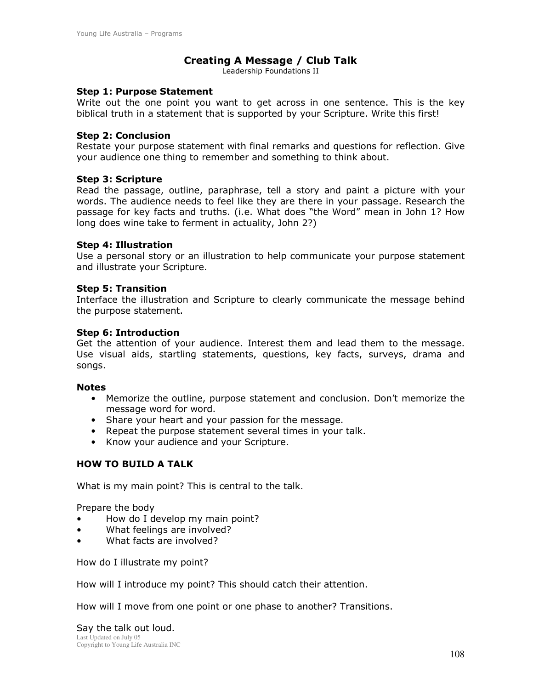#### Creating A Message / Club Talk

Leadership Foundations II

#### **Step 1: Purpose Statement**

Write out the one point you want to get across in one sentence. This is the key biblical truth in a statement that is supported by your Scripture. Write this first!

#### **Step 2: Conclusion**

Restate your purpose statement with final remarks and questions for reflection. Give your audience one thing to remember and something to think about.

#### **Step 3: Scripture**

Read the passage, outline, paraphrase, tell a story and paint a picture with your words. The audience needs to feel like they are there in your passage. Research the passage for key facts and truths. (i.e. What does "the Word" mean in John 1? How long does wine take to ferment in actuality, John 2?)

#### **Step 4: Illustration**

Use a personal story or an illustration to help communicate your purpose statement and illustrate your Scripture.

#### **Step 5: Transition**

Interface the illustration and Scripture to clearly communicate the message behind the purpose statement.

#### **Step 6: Introduction**

Get the attention of your audience. Interest them and lead them to the message. Use visual aids, startling statements, questions, key facts, surveys, drama and songs.

#### **Notes**

- Memorize the outline, purpose statement and conclusion. Don't memorize the message word for word.
- Share your heart and your passion for the message.
- Repeat the purpose statement several times in your talk.
- Know your audience and your Scripture.

#### **HOW TO BUILD A TALK**

What is my main point? This is central to the talk.

Prepare the body

- How do I develop my main point?
- What feelings are involved?  $\bullet$
- What facts are involved?

How do I illustrate my point?

How will I introduce my point? This should catch their attention.

How will I move from one point or one phase to another? Transitions.

Say the talk out loud. Last Updated on July 05 Copyright to Young Life Australia INC